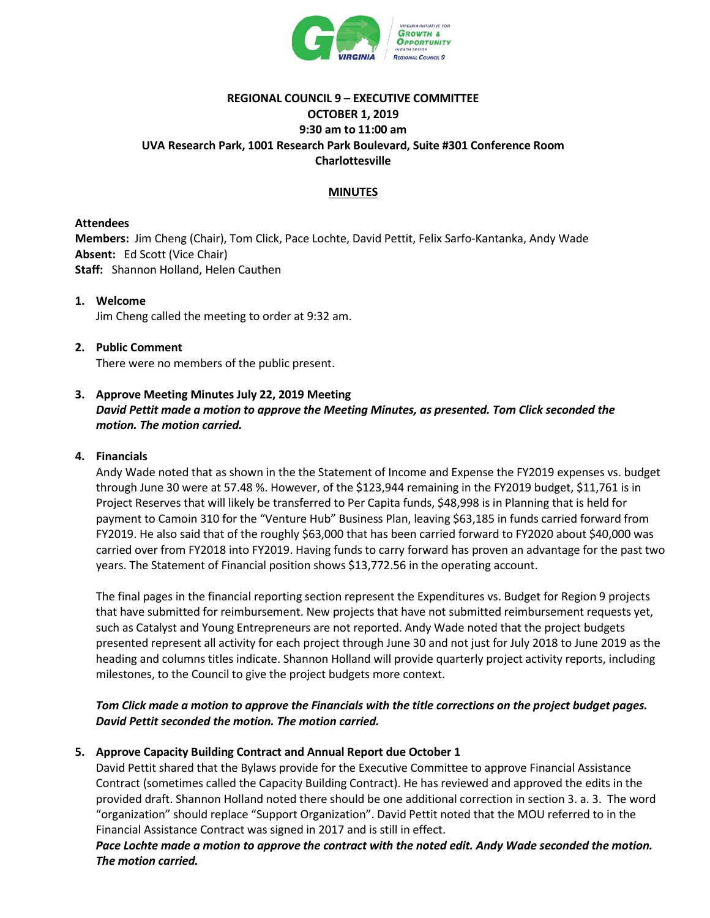

# **REGIONAL COUNCIL 9 – EXECUTIVE COMMITTEE OCTOBER 1, 2019 9:30 am to 11:00 am UVA Research Park, 1001 Research Park Boulevard, Suite #301 Conference Room Charlottesville**

## **MINUTES**

### **Attendees**

**Members:** Jim Cheng (Chair), Tom Click, Pace Lochte, David Pettit, Felix Sarfo-Kantanka, Andy Wade **Absent:** Ed Scott (Vice Chair) **Staff:** Shannon Holland, Helen Cauthen

#### **1. Welcome**

Jim Cheng called the meeting to order at 9:32 am.

## **2. Public Comment** There were no members of the public present.

## **3. Approve Meeting Minutes July 22, 2019 Meeting** *David Pettit made a motion to approve the Meeting Minutes, as presented. Tom Click seconded the motion. The motion carried.*

## **4. Financials**

Andy Wade noted that as shown in the the Statement of Income and Expense the FY2019 expenses vs. budget through June 30 were at 57.48 %. However, of the \$123,944 remaining in the FY2019 budget, \$11,761 is in Project Reserves that will likely be transferred to Per Capita funds, \$48,998 is in Planning that is held for payment to Camoin 310 for the "Venture Hub" Business Plan, leaving \$63,185 in funds carried forward from FY2019. He also said that of the roughly \$63,000 that has been carried forward to FY2020 about \$40,000 was carried over from FY2018 into FY2019. Having funds to carry forward has proven an advantage for the past two years. The Statement of Financial position shows \$13,772.56 in the operating account.

The final pages in the financial reporting section represent the Expenditures vs. Budget for Region 9 projects that have submitted for reimbursement. New projects that have not submitted reimbursement requests yet, such as Catalyst and Young Entrepreneurs are not reported. Andy Wade noted that the project budgets presented represent all activity for each project through June 30 and not just for July 2018 to June 2019 as the heading and columns titles indicate. Shannon Holland will provide quarterly project activity reports, including milestones, to the Council to give the project budgets more context.

## *Tom Click made a motion to approve the Financials with the title corrections on the project budget pages. David Pettit seconded the motion. The motion carried.*

## **5. Approve Capacity Building Contract and Annual Report due October 1**

David Pettit shared that the Bylaws provide for the Executive Committee to approve Financial Assistance Contract (sometimes called the Capacity Building Contract). He has reviewed and approved the edits in the provided draft. Shannon Holland noted there should be one additional correction in section 3. a. 3. The word "organization" should replace "Support Organization". David Pettit noted that the MOU referred to in the Financial Assistance Contract was signed in 2017 and is still in effect.

*Pace Lochte made a motion to approve the contract with the noted edit. Andy Wade seconded the motion. The motion carried.*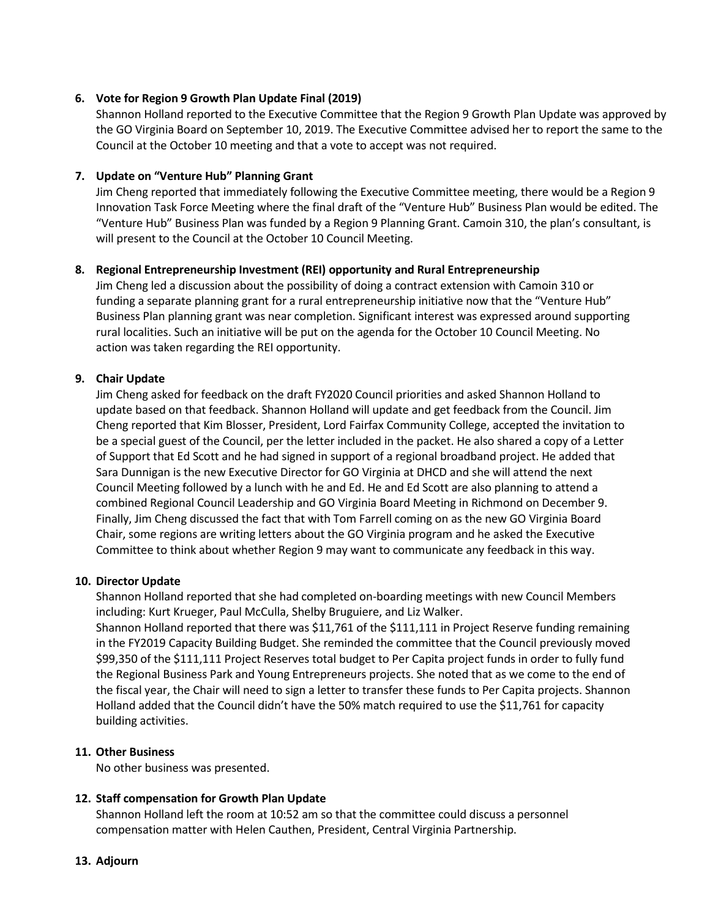## **6. Vote for Region 9 Growth Plan Update Final (2019)**

Shannon Holland reported to the Executive Committee that the Region 9 Growth Plan Update was approved by the GO Virginia Board on September 10, 2019. The Executive Committee advised her to report the same to the Council at the October 10 meeting and that a vote to accept was not required.

### **7. Update on "Venture Hub" Planning Grant**

Jim Cheng reported that immediately following the Executive Committee meeting, there would be a Region 9 Innovation Task Force Meeting where the final draft of the "Venture Hub" Business Plan would be edited. The "Venture Hub" Business Plan was funded by a Region 9 Planning Grant. Camoin 310, the plan's consultant, is will present to the Council at the October 10 Council Meeting.

#### **8. Regional Entrepreneurship Investment (REI) opportunity and Rural Entrepreneurship**

Jim Cheng led a discussion about the possibility of doing a contract extension with Camoin 310 or funding a separate planning grant for a rural entrepreneurship initiative now that the "Venture Hub" Business Plan planning grant was near completion. Significant interest was expressed around supporting rural localities. Such an initiative will be put on the agenda for the October 10 Council Meeting. No action was taken regarding the REI opportunity.

## **9. Chair Update**

Jim Cheng asked for feedback on the draft FY2020 Council priorities and asked Shannon Holland to update based on that feedback. Shannon Holland will update and get feedback from the Council. Jim Cheng reported that Kim Blosser, President, Lord Fairfax Community College, accepted the invitation to be a special guest of the Council, per the letter included in the packet. He also shared a copy of a Letter of Support that Ed Scott and he had signed in support of a regional broadband project. He added that Sara Dunnigan is the new Executive Director for GO Virginia at DHCD and she will attend the next Council Meeting followed by a lunch with he and Ed. He and Ed Scott are also planning to attend a combined Regional Council Leadership and GO Virginia Board Meeting in Richmond on December 9. Finally, Jim Cheng discussed the fact that with Tom Farrell coming on as the new GO Virginia Board Chair, some regions are writing letters about the GO Virginia program and he asked the Executive Committee to think about whether Region 9 may want to communicate any feedback in this way.

#### **10. Director Update**

Shannon Holland reported that she had completed on-boarding meetings with new Council Members including: Kurt Krueger, Paul McCulla, Shelby Bruguiere, and Liz Walker.

Shannon Holland reported that there was \$11,761 of the \$111,111 in Project Reserve funding remaining in the FY2019 Capacity Building Budget. She reminded the committee that the Council previously moved \$99,350 of the \$111,111 Project Reserves total budget to Per Capita project funds in order to fully fund the Regional Business Park and Young Entrepreneurs projects. She noted that as we come to the end of the fiscal year, the Chair will need to sign a letter to transfer these funds to Per Capita projects. Shannon Holland added that the Council didn't have the 50% match required to use the \$11,761 for capacity building activities.

## **11. Other Business**

No other business was presented.

## **12. Staff compensation for Growth Plan Update**

Shannon Holland left the room at 10:52 am so that the committee could discuss a personnel compensation matter with Helen Cauthen, President, Central Virginia Partnership.

#### **13. Adjourn**